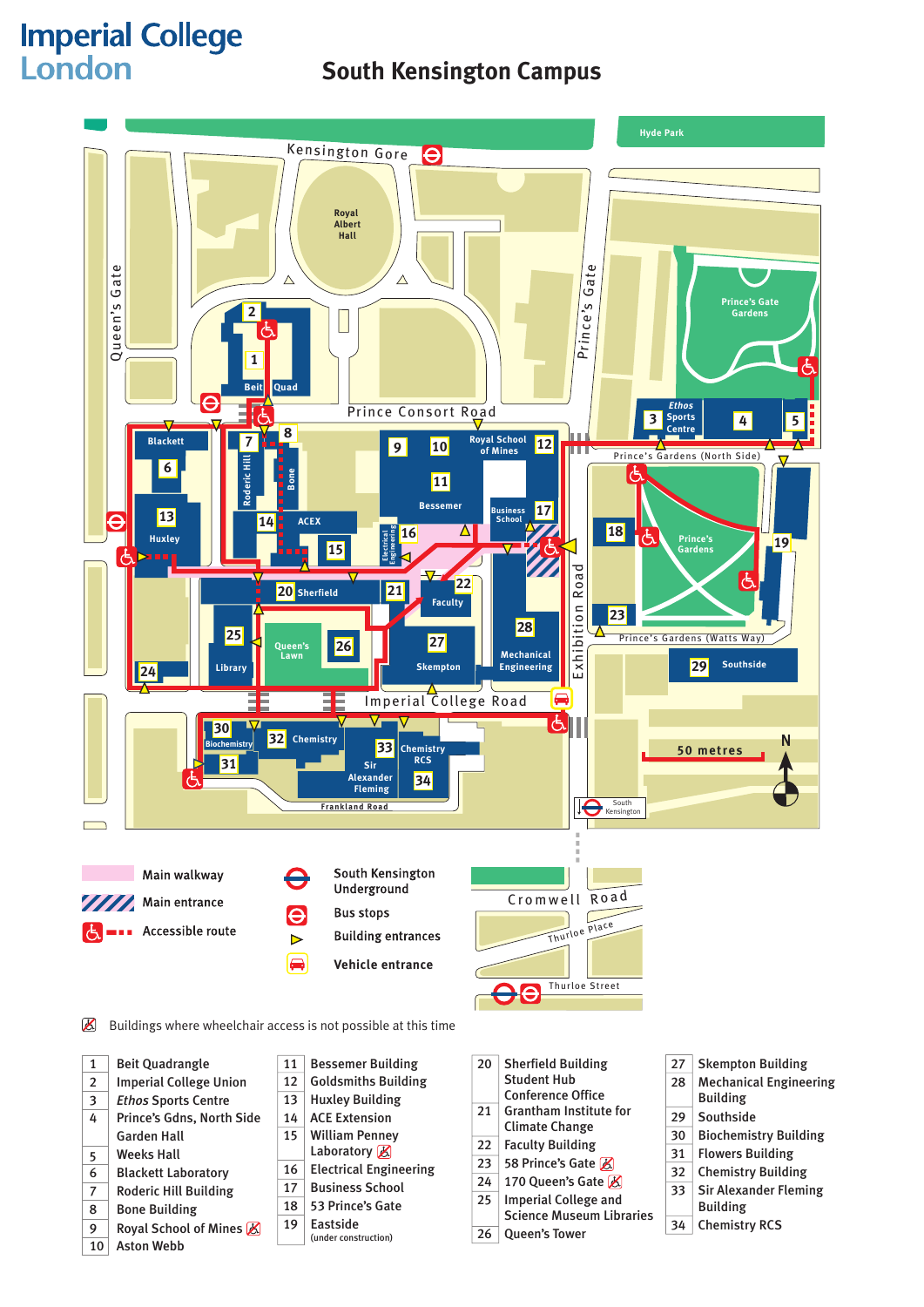# **Imperial College**

6 Blackett Laboratory 7 Roderic Hill Building 8 Bone Building

10 Aston Webb

9 Royal School of Mines  $\mathbb Z$ 

16 **Electrical Engineering** 17 Business School 18 53 Prince's Gate 19 Eastside

(under construction)

## South Kensington Campus **South Kensington Campus**



31 Flowers Building

23 58 Prince's Gate  $\cancel{R}$ 24 170 Queen's Gate  $\cancel{K}$ 25 Imperial College and

26 Queen's Tower

Science Museum Libraries

- 32 Chemistry Building
- 33 Sir Alexander Fleming
	- Building
- 34 Chemistry RCS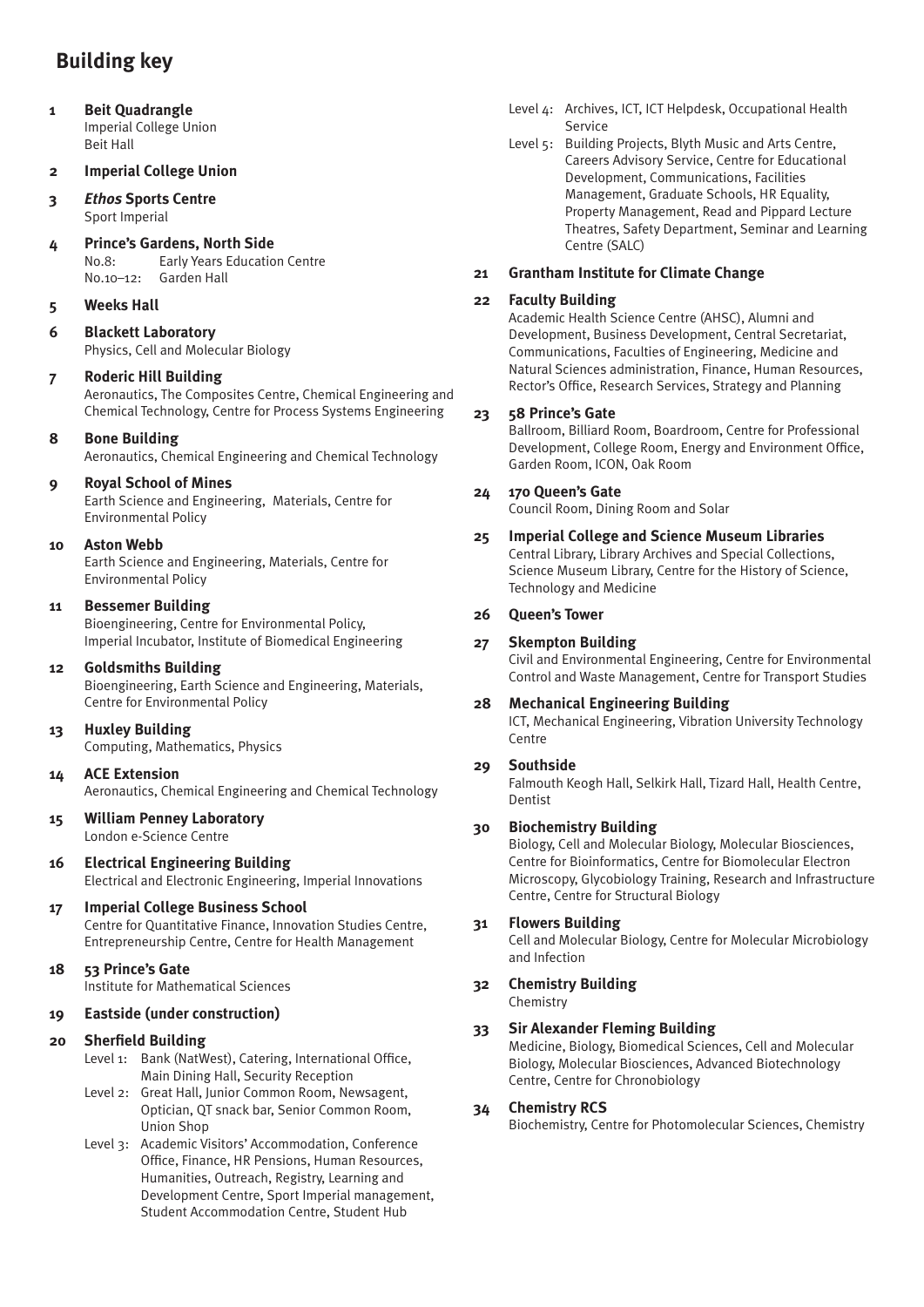## **Building key**

**1 Beit Quadrangle** Imperial College Union Beit Hall

### **2 Imperial College Union**

#### **3** *Ethos* **Sports Centre** Sport Imperial

**4 Prince's Gardens, North Side** No.8: Early Years Education Centre No.10-12: Garden Hall

## **5 Weeks Hall**

**6 Blackett Laboratory** Physics, Cell and Molecular Biology

### **7 Roderic Hill Building**

Aeronautics, The Composites Centre, Chemical Engineering and Chemical Technology, Centre for Process Systems Engineering

### **8 Bone Building**

Aeronautics, Chemical Engineering and Chemical Technology

## **9 Royal School of Mines**

Earth Science and Engineering, Materials, Centre for Environmental Policy

### **10 Aston Webb**

Earth Science and Engineering, Materials, Centre for Environmental Policy

### **11 Bessemer Building**

Bioengineering, Centre for Environmental Policy, Imperial Incubator, Institute of Biomedical Engineering

#### **12 Goldsmiths Building**

Bioengineering, Earth Science and Engineering, Materials, Centre for Environmental Policy

#### **13 Huxley Building**

 Computing, Mathematics, Physics

**14 ACE Extension** Aeronautics, Chemical Engineering and Chemical Technology

#### **15 William Penney Laboratory** London e-Science Centre

**16 Electrical Engineering Building** Electrical and Electronic Engineering, Imperial Innovations

## **17 Imperial College Business School**

Centre for Quantitative Finance, Innovation Studies Centre, Entrepreneurship Centre, Centre for Health Management

## **18 53 Prince's Gate**

 Institute for Mathematical Sciences

## **19 Eastside (under construction)**

#### **20 Sherfield Building**

- Level 1: Bank (NatWest), Catering, International Office, Main Dining Hall, Security Reception
- Level 2: Great Hall, Junior Common Room, Newsagent, Optician, QT snack bar, Senior Common Room, Union Shop
- Level 3: Academic Visitors' Accommodation, Conference Office, Finance, HR Pensions, Human Resources, Humanities, Outreach, Registry, Learning and Development Centre, Sport Imperial management, Student Accommodation Centre, Student Hub
- Level 4: Archives, ICT, ICT Helpdesk, Occupational Health Service
- Level 5: Building Projects, Blyth Music and Arts Centre, Careers Advisory Service, Centre for Educational Development, Communications, Facilities Management, Graduate Schools, HR Equality, Property Management, Read and Pippard Lecture Theatres, Safety Department, Seminar and Learning Centre (SALC)

### **21 Grantham Institute for Climate Change**

### **22 Faculty Building**

Academic Health Science Centre (AHSC), Alumni and Development, Business Development, Central Secretariat, Communications, Faculties of Engineering, Medicine and Natural Sciences administration, Finance, Human Resources, Rector's Office, Research Services, Strategy and Planning

#### **23 58 Prince's Gate**

Ballroom, Billiard Room, Boardroom, Centre for Professional Development, College Room, Energy and Environment Office, Garden Room, ICON, Oak Room

### **24 170 Queen's Gate**

 Council Room, Dining Room and Solar

## **25 Imperial College and Science Museum Libraries**

Central Library, Library Archives and Special Collections, Science Museum Library, Centre for the History of Science, Technology and Medicine

### **26 Queen's Tower**

## **27 Skempton Building**

Civil and Environmental Engineering, Centre for Environmental Control and Waste Management, Centre for Transport Studies

## **28 Mechanical Engineering Building**

ICT, Mechanical Engineering, Vibration University Technology Centre

## **29 Southside**

Falmouth Keogh Hall, Selkirk Hall, Tizard Hall, Health Centre, Dentist

## **30 Biochemistry Building**

Biology, Cell and Molecular Biology, Molecular Biosciences, Centre for Bioinformatics, Centre for Biomolecular Electron Microscopy, Glycobiology Training, Research and Infrastructure Centre, Centre for Structural Biology

## **31 Flowers Building**

Cell and Molecular Biology, Centre for Molecular Microbiology and Infection

#### **32 Chemistry Building**  Chemistry

## **33 Sir Alexander Fleming Building**

Medicine, Biology, Biomedical Sciences, Cell and Molecular Biology, Molecular Biosciences, Advanced Biotechnology Centre, Centre for Chronobiology

#### **34 Chemistry RCS**

 Biochemistry, Centre for Photomolecular Sciences, Chemistry